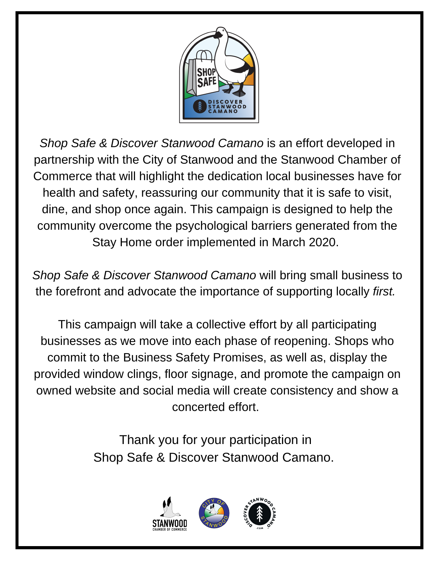

*Shop Safe & Discover Stanwood Camano* is an effort developed in partnership with the City of Stanwood and the Stanwood Chamber of Commerce that will highlight the dedication local businesses have for health and safety, reassuring our community that it is safe to visit, dine, and shop once again. This campaign is designed to help the community overcome the psychological barriers generated from the Stay Home order implemented in March 2020.

*Shop Safe & Discover Stanwood Camano* will bring small business to the forefront and advocate the importance of supporting locally *first.*

This campaign will take a collective effort by all participating businesses as we move into each phase of reopening. Shops who commit to the Business Safety Promises, as well as, display the provided window clings, floor signage, and promote the campaign on owned website and social media will create consistency and show a concerted effort.

> Thank you for your participation in Shop Safe & Discover Stanwood Camano.